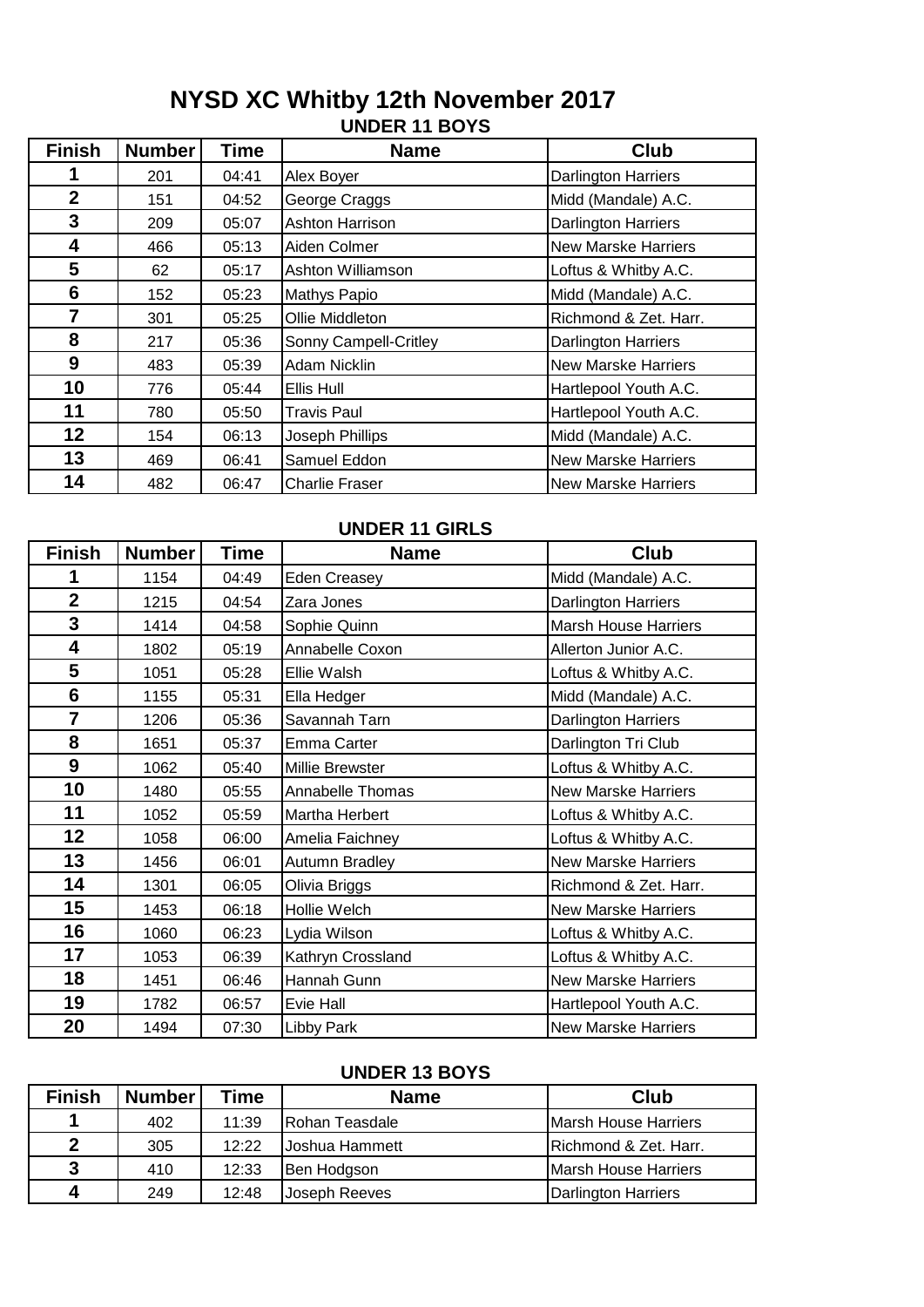### **UNDER 11 BOYS NYSD XC Whitby 12th November 2017**

| <b>Finish</b>  | <b>Number</b> | <b>Time</b> | <b>Name</b>           | <b>Club</b>                |
|----------------|---------------|-------------|-----------------------|----------------------------|
|                | 201           | 04:41       | Alex Boyer            | <b>Darlington Harriers</b> |
| $\overline{2}$ | 151           | 04:52       | George Craggs         | Midd (Mandale) A.C.        |
| 3              | 209           | 05:07       | Ashton Harrison       | <b>Darlington Harriers</b> |
| 4              | 466           | 05:13       | Aiden Colmer          | <b>New Marske Harriers</b> |
| 5              | 62            | 05:17       | Ashton Williamson     | Loftus & Whitby A.C.       |
| 6              | 152           | 05:23       | Mathys Papio          | Midd (Mandale) A.C.        |
| 7              | 301           | 05:25       | Ollie Middleton       | Richmond & Zet. Harr.      |
| 8              | 217           | 05:36       | Sonny Campell-Critley | <b>Darlington Harriers</b> |
| 9              | 483           | 05:39       | Adam Nicklin          | <b>New Marske Harriers</b> |
| 10             | 776           | 05:44       | Ellis Hull            | Hartlepool Youth A.C.      |
| 11             | 780           | 05:50       | <b>Travis Paul</b>    | Hartlepool Youth A.C.      |
| 12             | 154           | 06:13       | Joseph Phillips       | Midd (Mandale) A.C.        |
| 13             | 469           | 06:41       | Samuel Eddon          | <b>New Marske Harriers</b> |
| 14             | 482           | 06:47       | <b>Charlie Fraser</b> | <b>New Marske Harriers</b> |

| UNDER 11 GIRLS          |               |       |                   |                             |  |
|-------------------------|---------------|-------|-------------------|-----------------------------|--|
| <b>Finish</b>           | <b>Number</b> | Time  | <b>Name</b>       | <b>Club</b>                 |  |
| 1                       | 1154          | 04:49 | Eden Creasey      | Midd (Mandale) A.C.         |  |
| $\overline{\mathbf{2}}$ | 1215          | 04:54 | Zara Jones        | Darlington Harriers         |  |
| 3                       | 1414          | 04:58 | Sophie Quinn      | <b>Marsh House Harriers</b> |  |
| 4                       | 1802          | 05:19 | Annabelle Coxon   | Allerton Junior A.C.        |  |
| 5                       | 1051          | 05:28 | Ellie Walsh       | Loftus & Whitby A.C.        |  |
| $6\phantom{1}6$         | 1155          | 05:31 | Ella Hedger       | Midd (Mandale) A.C.         |  |
| $\overline{7}$          | 1206          | 05:36 | Savannah Tarn     | Darlington Harriers         |  |
| 8                       | 1651          | 05:37 | Emma Carter       | Darlington Tri Club         |  |
| 9                       | 1062          | 05:40 | Millie Brewster   | Loftus & Whitby A.C.        |  |
| 10                      | 1480          | 05:55 | Annabelle Thomas  | <b>New Marske Harriers</b>  |  |
| 11                      | 1052          | 05:59 | Martha Herbert    | Loftus & Whitby A.C.        |  |
| 12                      | 1058          | 06:00 | Amelia Faichney   | Loftus & Whitby A.C.        |  |
| 13                      | 1456          | 06:01 | Autumn Bradley    | <b>New Marske Harriers</b>  |  |
| 14                      | 1301          | 06:05 | Olivia Briggs     | Richmond & Zet. Harr.       |  |
| 15                      | 1453          | 06:18 | Hollie Welch      | <b>New Marske Harriers</b>  |  |
| 16                      | 1060          | 06:23 | Lydia Wilson      | Loftus & Whitby A.C.        |  |
| 17                      | 1053          | 06:39 | Kathryn Crossland | Loftus & Whitby A.C.        |  |
| 18                      | 1451          | 06:46 | Hannah Gunn       | <b>New Marske Harriers</b>  |  |
| 19                      | 1782          | 06:57 | Evie Hall         | Hartlepool Youth A.C.       |  |
| 20                      | 1494          | 07:30 | <b>Libby Park</b> | <b>New Marske Harriers</b>  |  |

# **UNDER 11 GIRLS**

#### **UNDER 13 BOYS**

| <b>Finish</b> | <b>Number</b> | Гіmе  | <b>Name</b>    | Club                         |  |
|---------------|---------------|-------|----------------|------------------------------|--|
|               | 402           | 11:39 | Rohan Teasdale | <b>IMarsh House Harriers</b> |  |
| $\mathbf{2}$  | 305           | 12:22 | Joshua Hammett | Richmond & Zet. Harr.        |  |
| 3             | 410           | 12:33 | Ben Hodgson    | Marsh House Harriers         |  |
| 4             | 249           | 12:48 | Joseph Reeves  | Darlington Harriers          |  |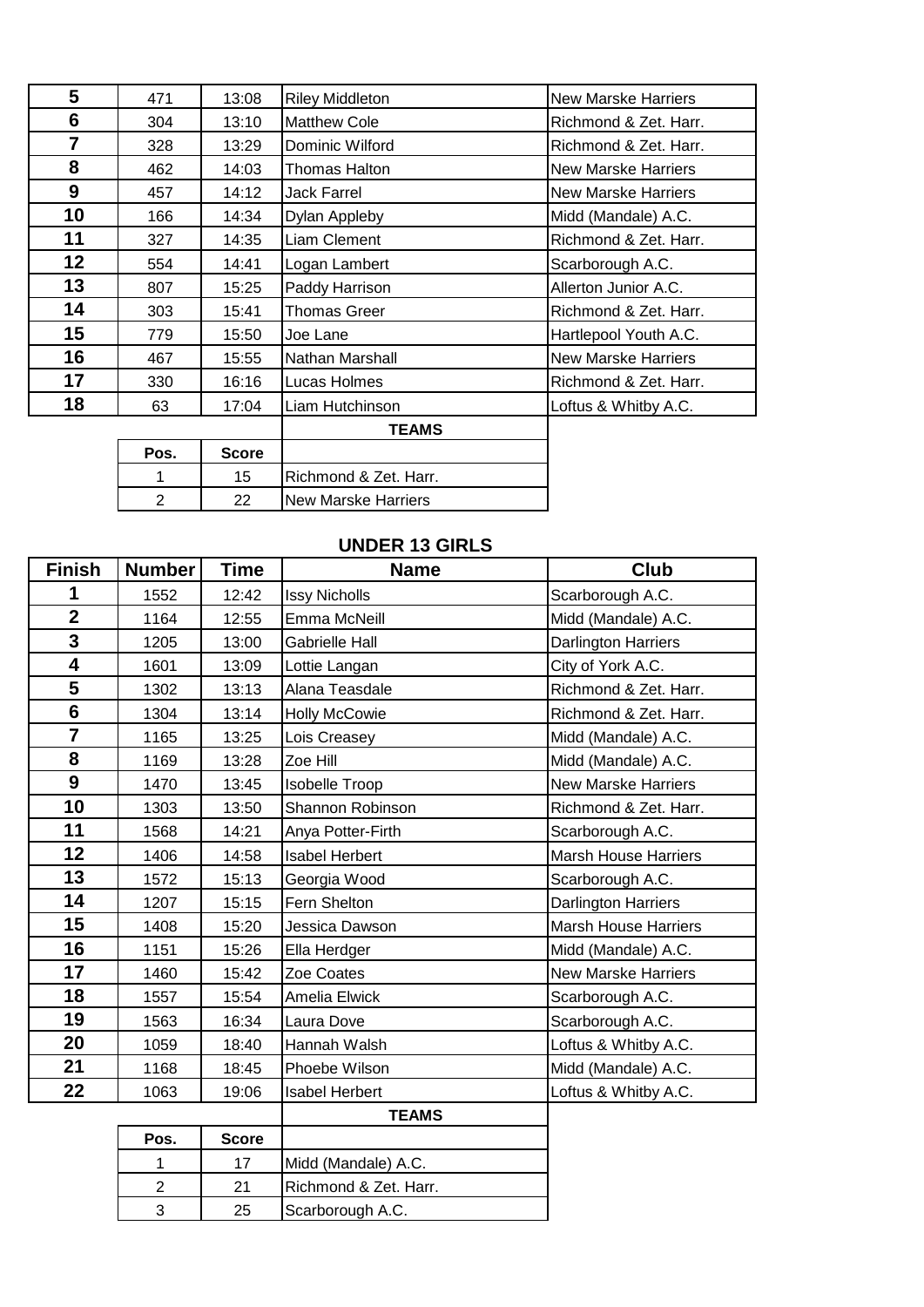| 5  | 471  | 13:08        | <b>Riley Middleton</b> | <b>New Marske Harriers</b> |
|----|------|--------------|------------------------|----------------------------|
| 6  | 304  | 13:10        | <b>Matthew Cole</b>    | Richmond & Zet. Harr.      |
| 7  | 328  | 13:29        | Dominic Wilford        | Richmond & Zet. Harr.      |
| 8  | 462  | 14:03        | Thomas Halton          | New Marske Harriers        |
| 9  | 457  | 14:12        | <b>Jack Farrel</b>     | <b>New Marske Harriers</b> |
| 10 | 166  | 14:34        | Dylan Appleby          | Midd (Mandale) A.C.        |
| 11 | 327  | 14:35        | Liam Clement           | Richmond & Zet. Harr.      |
| 12 | 554  | 14:41        | Logan Lambert          | Scarborough A.C.           |
| 13 | 807  | 15:25        | Paddy Harrison         | Allerton Junior A.C.       |
| 14 | 303  | 15:41        | <b>Thomas Greer</b>    | Richmond & Zet. Harr.      |
| 15 | 779  | 15:50        | Joe Lane               | Hartlepool Youth A.C.      |
| 16 | 467  | 15:55        | Nathan Marshall        | <b>New Marske Harriers</b> |
| 17 | 330  | 16:16        | Lucas Holmes           | Richmond & Zet. Harr.      |
| 18 | 63   | 17:04        | Liam Hutchinson        | Loftus & Whitby A.C.       |
|    |      |              | <b>TEAMS</b>           |                            |
|    | Pos. | <b>Score</b> |                        |                            |
|    | 1    | 15           | Richmond & Zet. Harr.  |                            |

## **UNDER 13 GIRLS**

2 22 New Marske Harriers

2 21 Richmond & Zet. Harr. 25 Scarborough A.C.

| <b>Finish</b>           | <b>Number</b> | Time         | <b>Name</b>           | Club                        |
|-------------------------|---------------|--------------|-----------------------|-----------------------------|
| 1                       | 1552          | 12:42        | <b>Issy Nicholls</b>  | Scarborough A.C.            |
| $\overline{\mathbf{2}}$ | 1164          | 12:55        | Emma McNeill          | Midd (Mandale) A.C.         |
| 3                       | 1205          | 13:00        | <b>Gabrielle Hall</b> | <b>Darlington Harriers</b>  |
| 4                       | 1601          | 13:09        | Lottie Langan         | City of York A.C.           |
| 5                       | 1302          | 13:13        | Alana Teasdale        | Richmond & Zet. Harr.       |
| $6\phantom{1}$          | 1304          | 13:14        | Holly McCowie         | Richmond & Zet. Harr.       |
| $\overline{7}$          | 1165          | 13:25        | Lois Creasey          | Midd (Mandale) A.C.         |
| 8                       | 1169          | 13:28        | Zoe Hill              | Midd (Mandale) A.C.         |
| 9                       | 1470          | 13:45        | <b>Isobelle Troop</b> | <b>New Marske Harriers</b>  |
| 10                      | 1303          | 13:50        | Shannon Robinson      | Richmond & Zet. Harr.       |
| 11                      | 1568          | 14:21        | Anya Potter-Firth     | Scarborough A.C.            |
| 12                      | 1406          | 14:58        | <b>Isabel Herbert</b> | <b>Marsh House Harriers</b> |
| 13                      | 1572          | 15:13        | Georgia Wood          | Scarborough A.C.            |
| 14                      | 1207          | 15:15        | Fern Shelton          | Darlington Harriers         |
| 15                      | 1408          | 15:20        | Jessica Dawson        | <b>Marsh House Harriers</b> |
| 16                      | 1151          | 15:26        | Ella Herdger          | Midd (Mandale) A.C.         |
| 17                      | 1460          | 15:42        | Zoe Coates            | <b>New Marske Harriers</b>  |
| 18                      | 1557          | 15:54        | Amelia Elwick         | Scarborough A.C.            |
| 19                      | 1563          | 16:34        | Laura Dove            | Scarborough A.C.            |
| 20                      | 1059          | 18:40        | Hannah Walsh          | Loftus & Whitby A.C.        |
| 21                      | 1168          | 18:45        | Phoebe Wilson         | Midd (Mandale) A.C.         |
| 22                      | 1063          | 19:06        | <b>Isabel Herbert</b> | Loftus & Whitby A.C.        |
|                         |               |              | <b>TEAMS</b>          |                             |
|                         | Pos.          | <b>Score</b> |                       |                             |
|                         | 1             | 17           | Midd (Mandale) A.C.   |                             |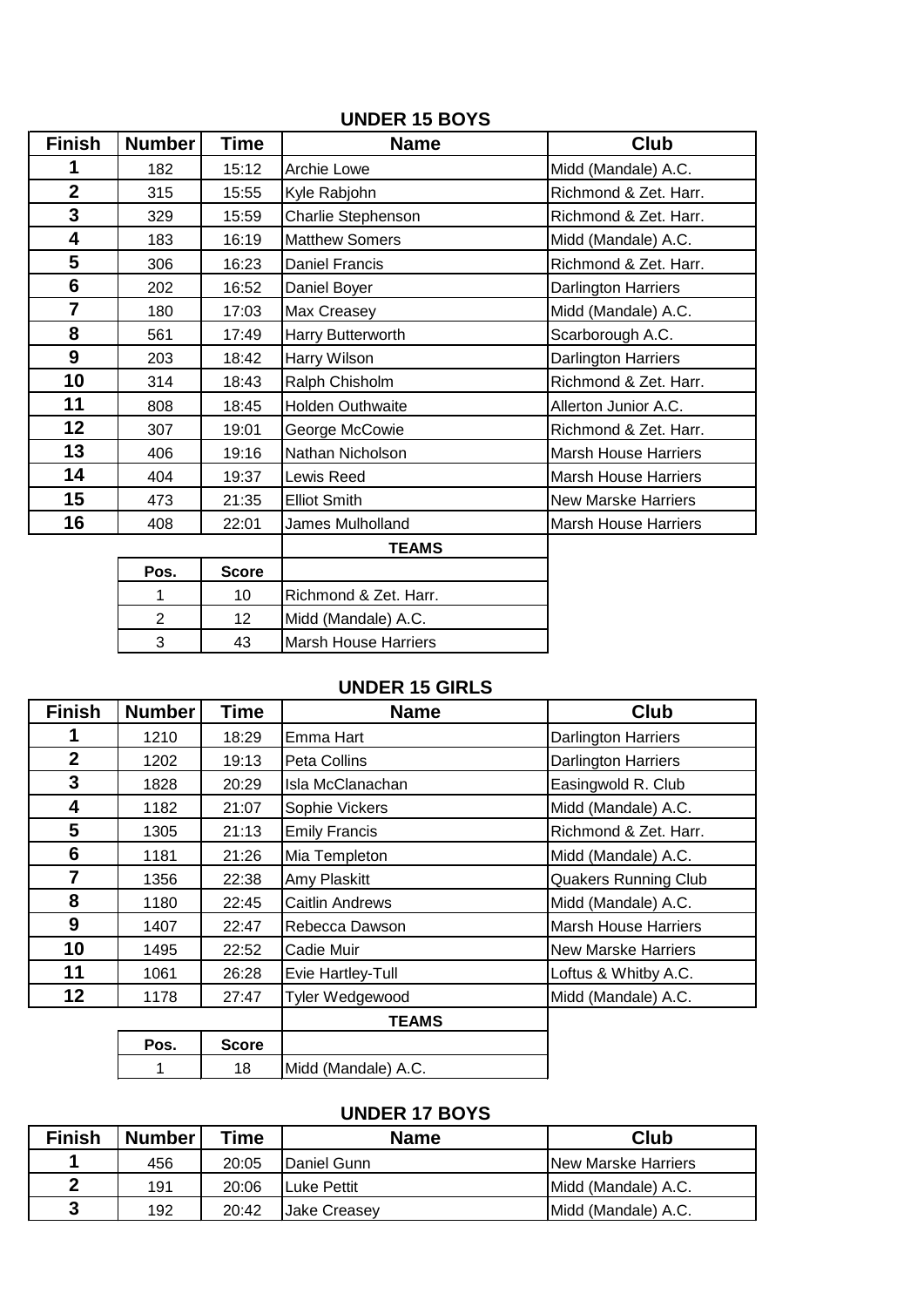| <b>Finish</b>  | <b>Number</b>  | <b>Time</b>  | <b>Name</b>                 | Club                        |
|----------------|----------------|--------------|-----------------------------|-----------------------------|
| 1              | 182            | 15:12        | Archie Lowe                 | Midd (Mandale) A.C.         |
| $\overline{2}$ | 315            | 15:55        | Kyle Rabjohn                | Richmond & Zet. Harr.       |
| 3              | 329            | 15:59        | Charlie Stephenson          | Richmond & Zet. Harr.       |
| 4              | 183            | 16:19        | <b>Matthew Somers</b>       | Midd (Mandale) A.C.         |
| 5              | 306            | 16:23        | Daniel Francis              | Richmond & Zet. Harr.       |
| 6              | 202            | 16:52        | Daniel Boyer                | Darlington Harriers         |
| $\overline{7}$ | 180            | 17:03        | Max Creasey                 | Midd (Mandale) A.C.         |
| 8              | 561            | 17:49        | Harry Butterworth           | Scarborough A.C.            |
| 9              | 203            | 18:42        | Harry Wilson                | Darlington Harriers         |
| 10             | 314            | 18:43        | Ralph Chisholm              | Richmond & Zet. Harr.       |
| 11             | 808            | 18:45        | Holden Outhwaite            | Allerton Junior A.C.        |
| 12             | 307            | 19:01        | George McCowie              | Richmond & Zet. Harr.       |
| 13             | 406            | 19:16        | Nathan Nicholson            | <b>Marsh House Harriers</b> |
| 14             | 404            | 19:37        | Lewis Reed                  | <b>Marsh House Harriers</b> |
| 15             | 473            | 21:35        | <b>Elliot Smith</b>         | <b>New Marske Harriers</b>  |
| 16             | 408            | 22:01        | James Mulholland            | <b>Marsh House Harriers</b> |
|                |                |              | <b>TEAMS</b>                |                             |
|                | Pos.           | <b>Score</b> |                             |                             |
|                |                | 10           | Richmond & Zet. Harr.       |                             |
|                | $\overline{2}$ | 12           | Midd (Mandale) A.C.         |                             |
|                | 3              | 43           | <b>Marsh House Harriers</b> |                             |

### **UNDER 15 BOYS**

### **UNDER 15 GIRLS**

| <b>Finish</b>  | <b>Number</b> | Time         | <b>Name</b>            | <b>Club</b>                 |
|----------------|---------------|--------------|------------------------|-----------------------------|
| 1              | 1210          | 18:29        | Emma Hart              | <b>Darlington Harriers</b>  |
| $\overline{2}$ | 1202          | 19:13        | Peta Collins           | Darlington Harriers         |
| 3              | 1828          | 20:29        | Isla McClanachan       | Easingwold R. Club          |
| 4              | 1182          | 21:07        | Sophie Vickers         | Midd (Mandale) A.C.         |
| 5              | 1305          | 21:13        | <b>Emily Francis</b>   | Richmond & Zet. Harr.       |
| 6              | 1181          | 21:26        | Mia Templeton          | Midd (Mandale) A.C.         |
| $\overline{7}$ | 1356          | 22:38        | Amy Plaskitt           | <b>Quakers Running Club</b> |
| 8              | 1180          | 22:45        | <b>Caitlin Andrews</b> | Midd (Mandale) A.C.         |
| 9              | 1407          | 22:47        | Rebecca Dawson         | <b>Marsh House Harriers</b> |
| 10             | 1495          | 22:52        | Cadie Muir             | <b>New Marske Harriers</b>  |
| 11             | 1061          | 26:28        | Evie Hartley-Tull      | Loftus & Whitby A.C.        |
| 12             | 1178          | 27:47        | <b>Tyler Wedgewood</b> | Midd (Mandale) A.C.         |
|                |               |              | <b>TEAMS</b>           |                             |
|                | Pos.          | <b>Score</b> |                        |                             |
|                |               | 18           | Midd (Mandale) A.C.    |                             |

### **UNDER 17 BOYS**

| <b>Finish</b> | <b>Number</b> | Time  | <b>Name</b>  | <b>Club</b>                 |
|---------------|---------------|-------|--------------|-----------------------------|
|               | 456           | 20:05 | Daniel Gunn  | <b>INew Marske Harriers</b> |
| ◠             | 191           | 20:06 | Luke Pettit  | Midd (Mandale) A.C.         |
| 3             | 192           | 20:42 | Jake Creasey | Midd (Mandale) A.C.         |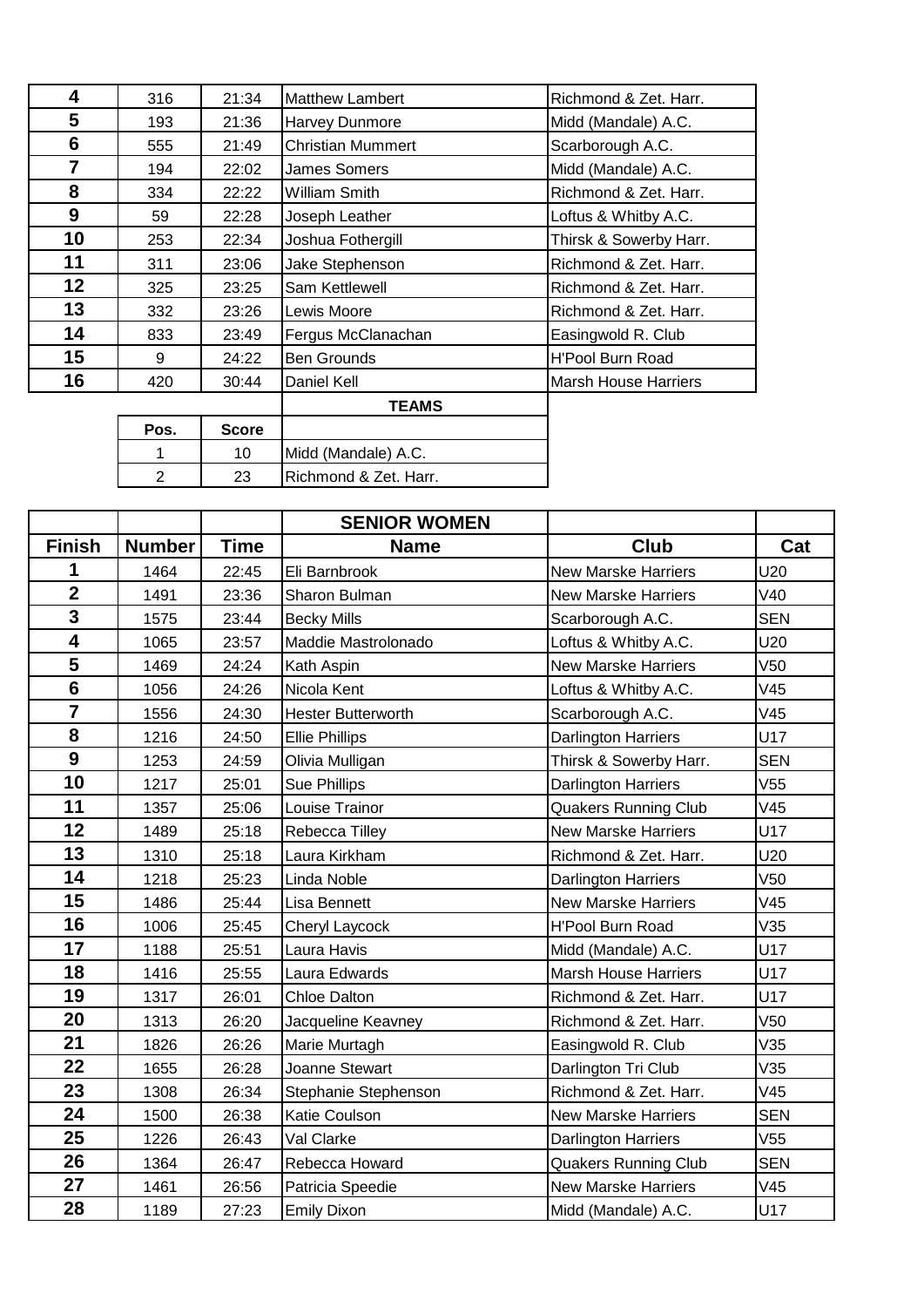| 4              | 316  | 21:34        | <b>Matthew Lambert</b>   | Richmond & Zet. Harr.       |
|----------------|------|--------------|--------------------------|-----------------------------|
| 5              | 193  | 21:36        | Harvey Dunmore           | Midd (Mandale) A.C.         |
| 6              | 555  | 21:49        | <b>Christian Mummert</b> | Scarborough A.C.            |
| $\overline{7}$ | 194  | 22:02        | James Somers             | Midd (Mandale) A.C.         |
| 8              | 334  | 22:22        | William Smith            | Richmond & Zet. Harr.       |
| 9              | 59   | 22:28        | Joseph Leather           | Loftus & Whitby A.C.        |
| 10             | 253  | 22:34        | Joshua Fothergill        | Thirsk & Sowerby Harr.      |
| 11             | 311  | 23:06        | Jake Stephenson          | Richmond & Zet. Harr.       |
| 12             | 325  | 23:25        | Sam Kettlewell           | Richmond & Zet. Harr.       |
| 13             | 332  | 23:26        | Lewis Moore              | Richmond & Zet. Harr.       |
| 14             | 833  | 23:49        | Fergus McClanachan       | Easingwold R. Club          |
| 15             | 9    | 24:22        | <b>Ben Grounds</b>       | <b>H'Pool Burn Road</b>     |
| 16             | 420  | 30:44        | Daniel Kell              | <b>Marsh House Harriers</b> |
|                |      |              | <b>TEAMS</b>             |                             |
|                | Pos. | <b>Score</b> |                          |                             |
|                | 1    | 10           | Midd (Mandale) A.C.      |                             |
|                | 2    | 23           | Richmond & Zet. Harr.    |                             |

|                         |               |             | <b>SENIOR WOMEN</b>       |                             |                 |
|-------------------------|---------------|-------------|---------------------------|-----------------------------|-----------------|
| <b>Finish</b>           | <b>Number</b> | <b>Time</b> | <b>Name</b>               | Club                        | Cat             |
| 1                       | 1464          | 22:45       | Eli Barnbrook             | <b>New Marske Harriers</b>  | U20             |
| $\overline{2}$          | 1491          | 23:36       | Sharon Bulman             | <b>New Marske Harriers</b>  | V40             |
| 3                       | 1575          | 23:44       | <b>Becky Mills</b>        | Scarborough A.C.            | <b>SEN</b>      |
| $\overline{\mathbf{4}}$ | 1065          | 23:57       | Maddie Mastrolonado       | Loftus & Whitby A.C.        | U20             |
| 5                       | 1469          | 24:24       | Kath Aspin                | <b>New Marske Harriers</b>  | V <sub>50</sub> |
| $6\phantom{a}$          | 1056          | 24:26       | Nicola Kent               | Loftus & Whitby A.C.        | V45             |
| $\overline{7}$          | 1556          | 24:30       | <b>Hester Butterworth</b> | Scarborough A.C.            | V45             |
| 8                       | 1216          | 24:50       | <b>Ellie Phillips</b>     | <b>Darlington Harriers</b>  | U17             |
| $\boldsymbol{9}$        | 1253          | 24:59       | Olivia Mulligan           | Thirsk & Sowerby Harr.      | <b>SEN</b>      |
| 10                      | 1217          | 25:01       | Sue Phillips              | <b>Darlington Harriers</b>  | V55             |
| 11                      | 1357          | 25:06       | Louise Trainor            | <b>Quakers Running Club</b> | V45             |
| 12                      | 1489          | 25:18       | Rebecca Tilley            | <b>New Marske Harriers</b>  | U17             |
| 13                      | 1310          | 25:18       | Laura Kirkham             | Richmond & Zet. Harr.       | U20             |
| 14                      | 1218          | 25:23       | Linda Noble               | <b>Darlington Harriers</b>  | V <sub>50</sub> |
| 15                      | 1486          | 25:44       | Lisa Bennett              | <b>New Marske Harriers</b>  | V45             |
| 16                      | 1006          | 25:45       | Cheryl Laycock            | <b>H'Pool Burn Road</b>     | V35             |
| 17                      | 1188          | 25:51       | Laura Havis               | Midd (Mandale) A.C.         | U17             |
| 18                      | 1416          | 25:55       | Laura Edwards             | <b>Marsh House Harriers</b> | U17             |
| 19                      | 1317          | 26:01       | <b>Chloe Dalton</b>       | Richmond & Zet. Harr.       | U17             |
| 20                      | 1313          | 26:20       | Jacqueline Keavney        | Richmond & Zet. Harr.       | V50             |
| 21                      | 1826          | 26:26       | Marie Murtagh             | Easingwold R. Club          | V35             |
| 22                      | 1655          | 26:28       | Joanne Stewart            | Darlington Tri Club         | V35             |
| 23                      | 1308          | 26:34       | Stephanie Stephenson      | Richmond & Zet. Harr.       | V45             |
| 24                      | 1500          | 26:38       | Katie Coulson             | New Marske Harriers         | <b>SEN</b>      |
| 25                      | 1226          | 26:43       | Val Clarke                | <b>Darlington Harriers</b>  | V <sub>55</sub> |
| 26                      | 1364          | 26:47       | Rebecca Howard            | <b>Quakers Running Club</b> | <b>SEN</b>      |
| 27                      | 1461          | 26:56       | Patricia Speedie          | <b>New Marske Harriers</b>  | V45             |
| 28                      | 1189          | 27:23       | <b>Emily Dixon</b>        | Midd (Mandale) A.C.         | U17             |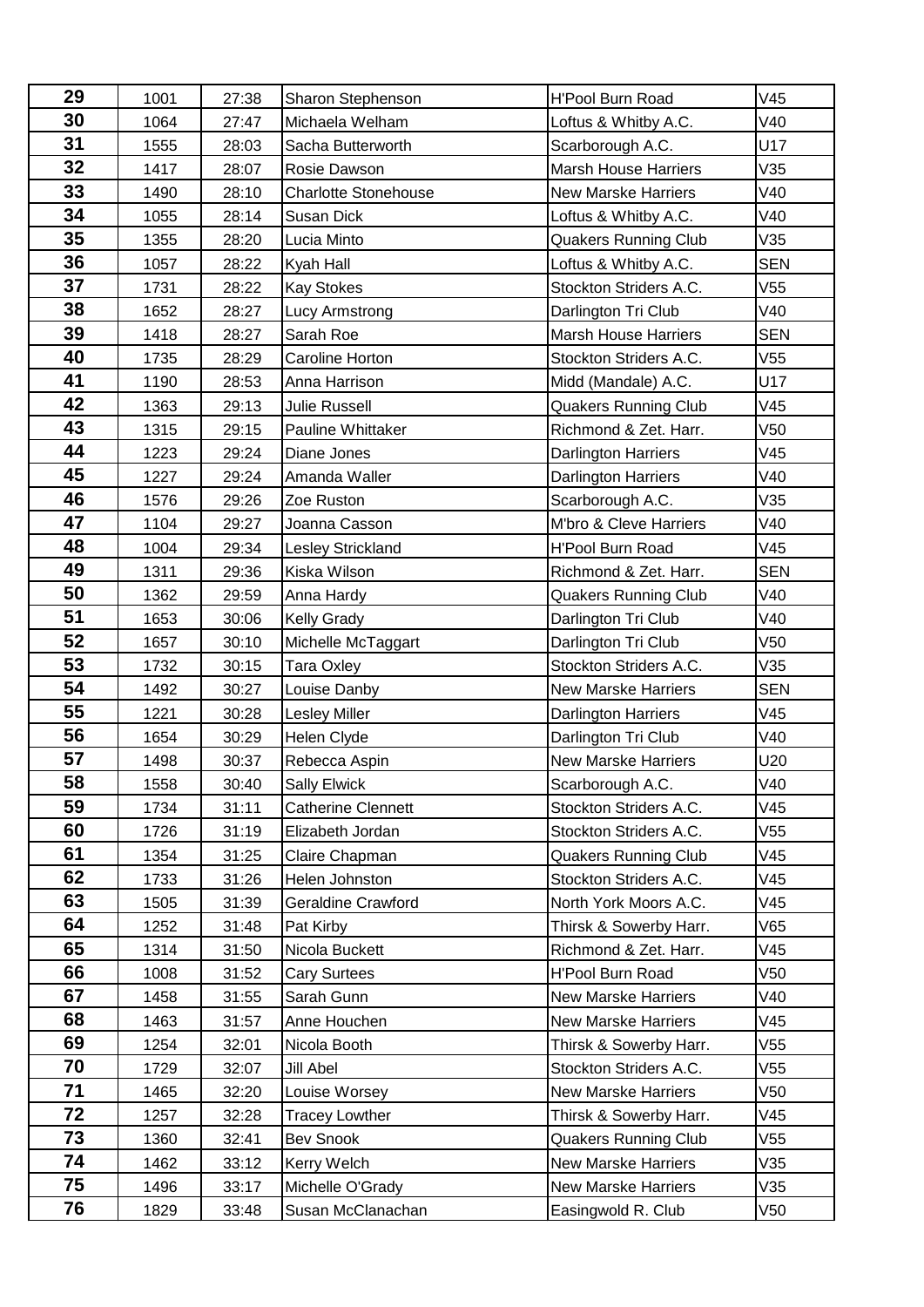| 29 | 1001 | 27:38 | Sharon Stephenson           | <b>H'Pool Burn Road</b>     | V45             |
|----|------|-------|-----------------------------|-----------------------------|-----------------|
| 30 | 1064 | 27:47 | Michaela Welham             | Loftus & Whitby A.C.        | V40             |
| 31 | 1555 | 28:03 | Sacha Butterworth           | Scarborough A.C.            | U17             |
| 32 | 1417 | 28:07 | Rosie Dawson                | <b>Marsh House Harriers</b> | V35             |
| 33 | 1490 | 28:10 | <b>Charlotte Stonehouse</b> | <b>New Marske Harriers</b>  | V40             |
| 34 | 1055 | 28:14 | Susan Dick                  | Loftus & Whitby A.C.        | V40             |
| 35 | 1355 | 28:20 | Lucia Minto                 | <b>Quakers Running Club</b> | V35             |
| 36 | 1057 | 28:22 | Kyah Hall                   | Loftus & Whitby A.C.        | <b>SEN</b>      |
| 37 | 1731 | 28:22 | <b>Kay Stokes</b>           | Stockton Striders A.C.      | V55             |
| 38 | 1652 | 28:27 | Lucy Armstrong              | Darlington Tri Club         | V40             |
| 39 | 1418 | 28:27 | Sarah Roe                   | <b>Marsh House Harriers</b> | <b>SEN</b>      |
| 40 | 1735 | 28:29 | Caroline Horton             | Stockton Striders A.C.      | V55             |
| 41 | 1190 | 28:53 | Anna Harrison               | Midd (Mandale) A.C.         | U17             |
| 42 | 1363 | 29:13 | <b>Julie Russell</b>        | Quakers Running Club        | V45             |
| 43 | 1315 | 29:15 | Pauline Whittaker           | Richmond & Zet. Harr.       | V <sub>50</sub> |
| 44 | 1223 | 29:24 | Diane Jones                 | Darlington Harriers         | V45             |
| 45 | 1227 | 29:24 | Amanda Waller               | Darlington Harriers         | V40             |
| 46 | 1576 | 29:26 | Zoe Ruston                  | Scarborough A.C.            | V35             |
| 47 | 1104 | 29:27 | Joanna Casson               | M'bro & Cleve Harriers      | V40             |
| 48 | 1004 | 29:34 | Lesley Strickland           | <b>H'Pool Burn Road</b>     | V45             |
| 49 | 1311 | 29:36 | Kiska Wilson                | Richmond & Zet. Harr.       | <b>SEN</b>      |
| 50 | 1362 | 29:59 | Anna Hardy                  | <b>Quakers Running Club</b> | V40             |
| 51 | 1653 | 30:06 | <b>Kelly Grady</b>          | Darlington Tri Club         | V40             |
| 52 | 1657 | 30:10 | Michelle McTaggart          | Darlington Tri Club         | V50             |
| 53 | 1732 | 30:15 | <b>Tara Oxley</b>           | Stockton Striders A.C.      | V35             |
| 54 | 1492 | 30:27 | Louise Danby                | <b>New Marske Harriers</b>  | <b>SEN</b>      |
| 55 | 1221 | 30:28 | <b>Lesley Miller</b>        | Darlington Harriers         | V45             |
| 56 | 1654 | 30:29 | Helen Clyde                 | Darlington Tri Club         | V40             |
| 57 | 1498 | 30:37 | Rebecca Aspin               | <b>New Marske Harriers</b>  | U20             |
| 58 | 1558 | 30:40 | <b>Sally Elwick</b>         | Scarborough A.C.            | V40             |
| 59 | 1734 | 31:11 | <b>Catherine Clennett</b>   | Stockton Striders A.C.      | V45             |
| 60 | 1726 | 31:19 | Elizabeth Jordan            | Stockton Striders A.C.      | V55             |
| 61 | 1354 | 31:25 | Claire Chapman              | <b>Quakers Running Club</b> | V45             |
| 62 | 1733 | 31:26 | Helen Johnston              | Stockton Striders A.C.      | V45             |
| 63 | 1505 | 31:39 | Geraldine Crawford          | North York Moors A.C.       | V45             |
| 64 | 1252 | 31:48 | Pat Kirby                   | Thirsk & Sowerby Harr.      | V65             |
| 65 | 1314 | 31:50 | Nicola Buckett              | Richmond & Zet. Harr.       | V45             |
| 66 | 1008 | 31:52 | <b>Cary Surtees</b>         | <b>H'Pool Burn Road</b>     | V50             |
| 67 | 1458 | 31:55 | Sarah Gunn                  | <b>New Marske Harriers</b>  | V40             |
| 68 | 1463 | 31:57 | Anne Houchen                | <b>New Marske Harriers</b>  | V45             |
| 69 | 1254 | 32:01 | Nicola Booth                | Thirsk & Sowerby Harr.      | V55             |
| 70 | 1729 | 32:07 | <b>Jill Abel</b>            | Stockton Striders A.C.      | V55             |
| 71 | 1465 | 32:20 | Louise Worsey               | <b>New Marske Harriers</b>  | V50             |
| 72 | 1257 | 32:28 | <b>Tracey Lowther</b>       | Thirsk & Sowerby Harr.      | V45             |
| 73 | 1360 | 32:41 | <b>Bev Snook</b>            | <b>Quakers Running Club</b> | V55             |
| 74 | 1462 | 33:12 | Kerry Welch                 | <b>New Marske Harriers</b>  | V35             |
| 75 | 1496 | 33:17 | Michelle O'Grady            | <b>New Marske Harriers</b>  | V35             |
| 76 | 1829 | 33:48 | Susan McClanachan           | Easingwold R. Club          | V50             |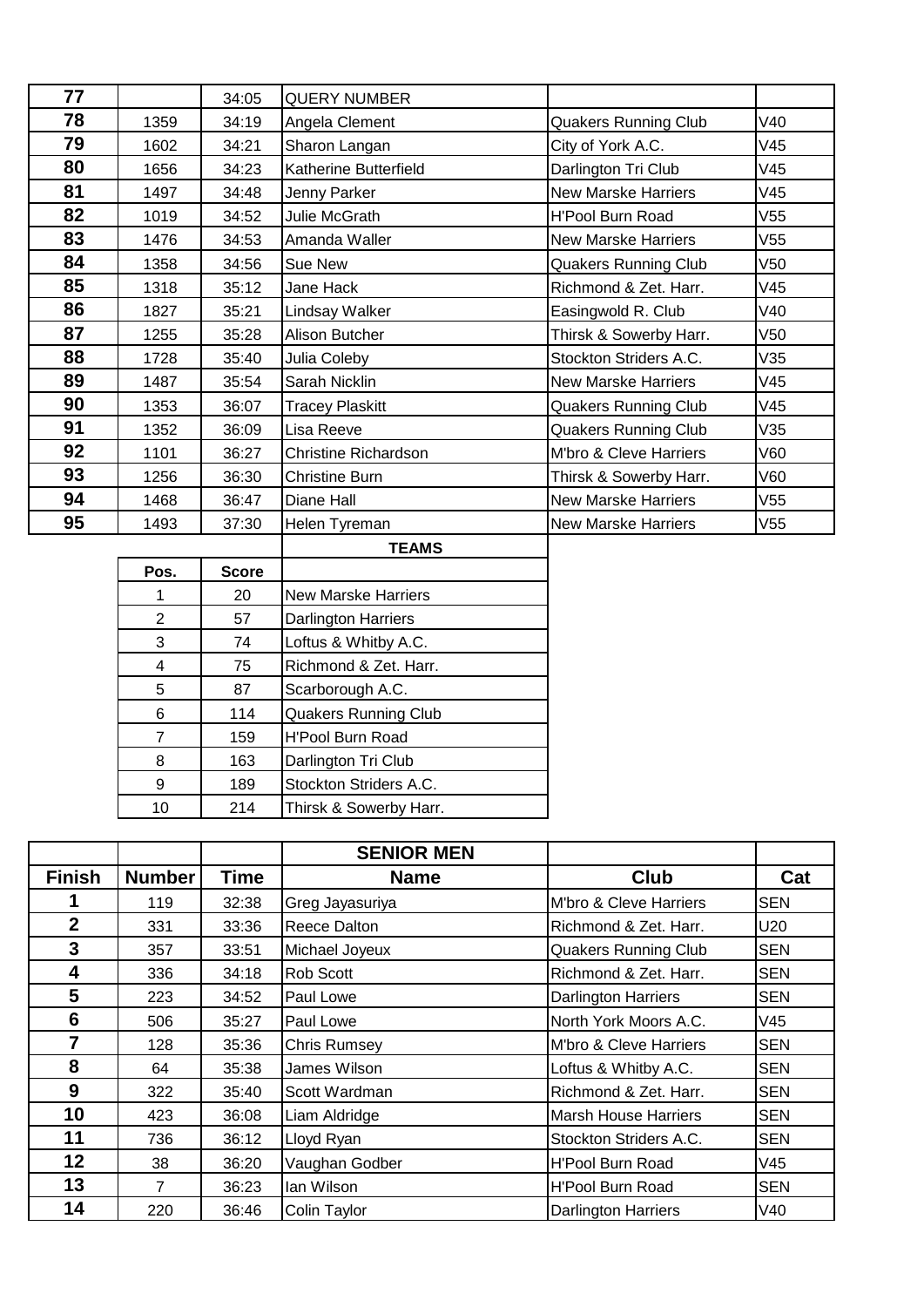| 77 |      | 34:05 | <b>QUERY NUMBER</b>         |                             |     |
|----|------|-------|-----------------------------|-----------------------------|-----|
| 78 | 1359 | 34:19 | Angela Clement              | <b>Quakers Running Club</b> | V40 |
| 79 | 1602 | 34:21 | Sharon Langan               | City of York A.C.           | V45 |
| 80 | 1656 | 34:23 | Katherine Butterfield       | Darlington Tri Club         | V45 |
| 81 | 1497 | 34:48 | Jenny Parker                | <b>New Marske Harriers</b>  | V45 |
| 82 | 1019 | 34:52 | Julie McGrath               | <b>H'Pool Burn Road</b>     | V55 |
| 83 | 1476 | 34:53 | Amanda Waller               | <b>New Marske Harriers</b>  | V55 |
| 84 | 1358 | 34:56 | Sue New                     | <b>Quakers Running Club</b> | V50 |
| 85 | 1318 | 35:12 | Jane Hack                   | Richmond & Zet. Harr.       | V45 |
| 86 | 1827 | 35:21 | Lindsay Walker              | Easingwold R. Club          | V40 |
| 87 | 1255 | 35:28 | Alison Butcher              | Thirsk & Sowerby Harr.      | V50 |
| 88 | 1728 | 35:40 | Julia Coleby                | Stockton Striders A.C.      | V35 |
| 89 | 1487 | 35:54 | Sarah Nicklin               | <b>New Marske Harriers</b>  | V45 |
| 90 | 1353 | 36:07 | <b>Tracey Plaskitt</b>      | <b>Quakers Running Club</b> | V45 |
| 91 | 1352 | 36:09 | Lisa Reeve                  | <b>Quakers Running Club</b> | V35 |
| 92 | 1101 | 36:27 | <b>Christine Richardson</b> | M'bro & Cleve Harriers      | V60 |
| 93 | 1256 | 36:30 | <b>Christine Burn</b>       | Thirsk & Sowerby Harr.      | V60 |
| 94 | 1468 | 36:47 | Diane Hall                  | <b>New Marske Harriers</b>  | V55 |
| 95 | 1493 | 37:30 | Helen Tyreman               | <b>New Marske Harriers</b>  | V55 |

|      |              | <b>TEAMS</b>                |
|------|--------------|-----------------------------|
| Pos. | <b>Score</b> |                             |
| 1    | 20           | New Marske Harriers         |
| 2    | 57           | <b>Darlington Harriers</b>  |
| 3    | 74           | Loftus & Whitby A.C.        |
| 4    | 75           | Richmond & Zet. Harr.       |
| 5    | 87           | Scarborough A.C.            |
| 6    | 114          | <b>Quakers Running Club</b> |
| 7    | 159          | <b>H'Pool Burn Road</b>     |
| 8    | 163          | Darlington Tri Club         |
| 9    | 189          | Stockton Striders A.C.      |
| 10   | 214          | Thirsk & Sowerby Harr.      |
|      |              |                             |

|                |               |             | <b>SENIOR MEN</b>   |                             |            |
|----------------|---------------|-------------|---------------------|-----------------------------|------------|
| <b>Finish</b>  | <b>Number</b> | <b>Time</b> | <b>Name</b>         | <b>Club</b>                 | Cat        |
|                | 119           | 32:38       | Greg Jayasuriya     | M'bro & Cleve Harriers      | <b>SEN</b> |
| $\overline{2}$ | 331           | 33:36       | Reece Dalton        | Richmond & Zet. Harr.       | U20        |
| 3              | 357           | 33:51       | Michael Joyeux      | <b>Quakers Running Club</b> | <b>SEN</b> |
| 4              | 336           | 34:18       | Rob Scott           | Richmond & Zet. Harr.       | <b>SEN</b> |
| 5              | 223           | 34:52       | Paul Lowe           | <b>Darlington Harriers</b>  | <b>SEN</b> |
| 6              | 506           | 35:27       | Paul Lowe           | North York Moors A.C.       | V45        |
| $\overline{7}$ | 128           | 35:36       | <b>Chris Rumsey</b> | M'bro & Cleve Harriers      | <b>SEN</b> |
| 8              | 64            | 35:38       | James Wilson        | Loftus & Whitby A.C.        | <b>SEN</b> |
| 9              | 322           | 35:40       | Scott Wardman       | Richmond & Zet. Harr.       | <b>SEN</b> |
| 10             | 423           | 36:08       | Liam Aldridge       | <b>Marsh House Harriers</b> | <b>SEN</b> |
| 11             | 736           | 36:12       | Lloyd Ryan          | Stockton Striders A.C.      | <b>SEN</b> |
| 12             | 38            | 36:20       | Vaughan Godber      | <b>H'Pool Burn Road</b>     | V45        |
| 13             | 7             | 36:23       | lan Wilson          | <b>H'Pool Burn Road</b>     | <b>SEN</b> |
| 14             | 220           | 36:46       | Colin Taylor        | <b>Darlington Harriers</b>  | V40        |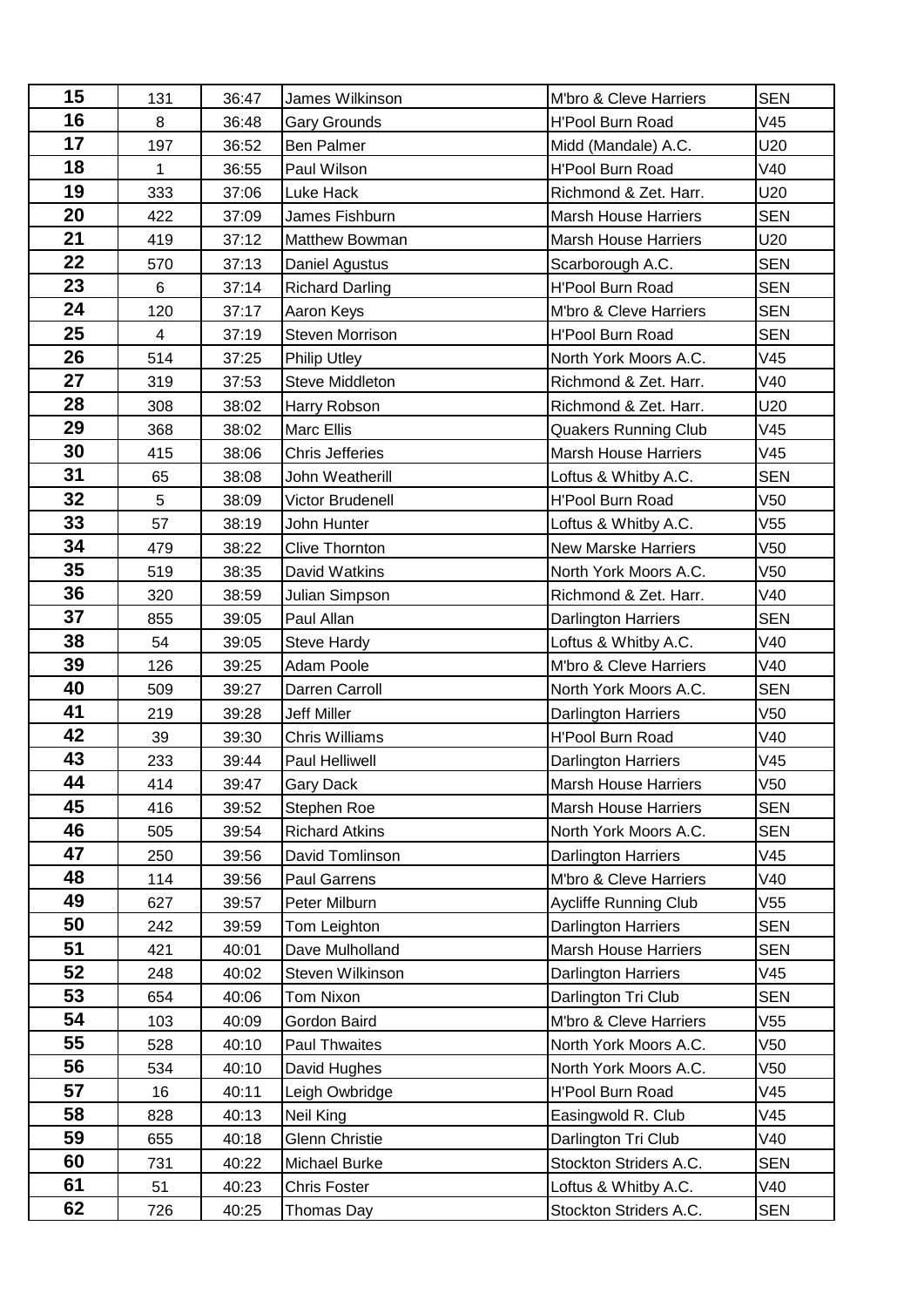| 15 | 131                     | 36:47 | James Wilkinson        | M'bro & Cleve Harriers       | <b>SEN</b> |
|----|-------------------------|-------|------------------------|------------------------------|------------|
| 16 | 8                       | 36:48 | <b>Gary Grounds</b>    | <b>H'Pool Burn Road</b>      | V45        |
| 17 | 197                     | 36:52 | <b>Ben Palmer</b>      | Midd (Mandale) A.C.          | U20        |
| 18 | $\mathbf{1}$            | 36:55 | Paul Wilson            | <b>H'Pool Burn Road</b>      | V40        |
| 19 | 333                     | 37:06 | Luke Hack              | Richmond & Zet. Harr.        | U20        |
| 20 | 422                     | 37:09 | James Fishburn         | <b>Marsh House Harriers</b>  | <b>SEN</b> |
| 21 | 419                     | 37:12 | Matthew Bowman         | <b>Marsh House Harriers</b>  | U20        |
| 22 | 570                     | 37:13 | Daniel Agustus         | Scarborough A.C.             | <b>SEN</b> |
| 23 | 6                       | 37:14 | <b>Richard Darling</b> | <b>H'Pool Burn Road</b>      | <b>SEN</b> |
| 24 | 120                     | 37:17 | Aaron Keys             | M'bro & Cleve Harriers       | <b>SEN</b> |
| 25 | $\overline{\mathbf{4}}$ | 37:19 | Steven Morrison        | <b>H'Pool Burn Road</b>      | <b>SEN</b> |
| 26 | 514                     | 37:25 | <b>Philip Utley</b>    | North York Moors A.C.        | V45        |
| 27 | 319                     | 37:53 | <b>Steve Middleton</b> | Richmond & Zet. Harr.        | V40        |
| 28 | 308                     | 38:02 | Harry Robson           | Richmond & Zet. Harr.        | U20        |
| 29 | 368                     | 38:02 | <b>Marc Ellis</b>      | <b>Quakers Running Club</b>  | V45        |
| 30 | 415                     | 38:06 | <b>Chris Jefferies</b> | <b>Marsh House Harriers</b>  | V45        |
| 31 | 65                      | 38:08 | John Weatherill        | Loftus & Whitby A.C.         | <b>SEN</b> |
| 32 | 5                       | 38:09 | Victor Brudenell       | <b>H'Pool Burn Road</b>      | V50        |
| 33 | 57                      | 38:19 | John Hunter            | Loftus & Whitby A.C.         | V55        |
| 34 | 479                     | 38:22 | <b>Clive Thornton</b>  | <b>New Marske Harriers</b>   | V50        |
| 35 | 519                     | 38:35 | David Watkins          | North York Moors A.C.        | V50        |
| 36 | 320                     | 38:59 | Julian Simpson         | Richmond & Zet. Harr.        | V40        |
| 37 | 855                     | 39:05 | Paul Allan             | Darlington Harriers          | <b>SEN</b> |
| 38 | 54                      | 39:05 | <b>Steve Hardy</b>     | Loftus & Whitby A.C.         | V40        |
| 39 | 126                     | 39:25 | Adam Poole             | M'bro & Cleve Harriers       | V40        |
| 40 | 509                     | 39:27 | Darren Carroll         | North York Moors A.C.        | <b>SEN</b> |
| 41 | 219                     | 39:28 | <b>Jeff Miller</b>     | Darlington Harriers          | V50        |
| 42 | 39                      | 39:30 | <b>Chris Williams</b>  | <b>H'Pool Burn Road</b>      | V40        |
| 43 | 233                     | 39:44 | Paul Helliwell         | <b>Darlington Harriers</b>   | V45        |
| 44 | 414                     | 39:47 | Gary Dack              | Marsh House Harriers         | V50        |
| 45 | 416                     | 39:52 | Stephen Roe            | <b>Marsh House Harriers</b>  | <b>SEN</b> |
| 46 | 505                     | 39:54 | <b>Richard Atkins</b>  | North York Moors A.C.        | <b>SEN</b> |
| 47 | 250                     | 39:56 | David Tomlinson        | <b>Darlington Harriers</b>   | V45        |
| 48 | 114                     | 39:56 | Paul Garrens           | M'bro & Cleve Harriers       | V40        |
| 49 | 627                     | 39:57 | Peter Milburn          | <b>Aycliffe Running Club</b> | V55        |
| 50 | 242                     | 39:59 | Tom Leighton           | Darlington Harriers          | <b>SEN</b> |
| 51 | 421                     | 40:01 | Dave Mulholland        | <b>Marsh House Harriers</b>  | <b>SEN</b> |
| 52 | 248                     | 40:02 | Steven Wilkinson       | Darlington Harriers          | V45        |
| 53 | 654                     | 40:06 | Tom Nixon              | Darlington Tri Club          | <b>SEN</b> |
| 54 | 103                     | 40:09 | Gordon Baird           | M'bro & Cleve Harriers       | V55        |
| 55 | 528                     | 40:10 | Paul Thwaites          | North York Moors A.C.        | V50        |
| 56 | 534                     | 40:10 | David Hughes           | North York Moors A.C.        | V50        |
| 57 | 16                      | 40:11 | Leigh Owbridge         | H'Pool Burn Road             | V45        |
| 58 | 828                     | 40:13 | Neil King              | Easingwold R. Club           | V45        |
| 59 | 655                     | 40:18 | <b>Glenn Christie</b>  | Darlington Tri Club          | V40        |
| 60 | 731                     | 40:22 | Michael Burke          | Stockton Striders A.C.       | <b>SEN</b> |
| 61 | 51                      | 40:23 | <b>Chris Foster</b>    | Loftus & Whitby A.C.         | V40        |
| 62 | 726                     | 40:25 | Thomas Day             | Stockton Striders A.C.       | <b>SEN</b> |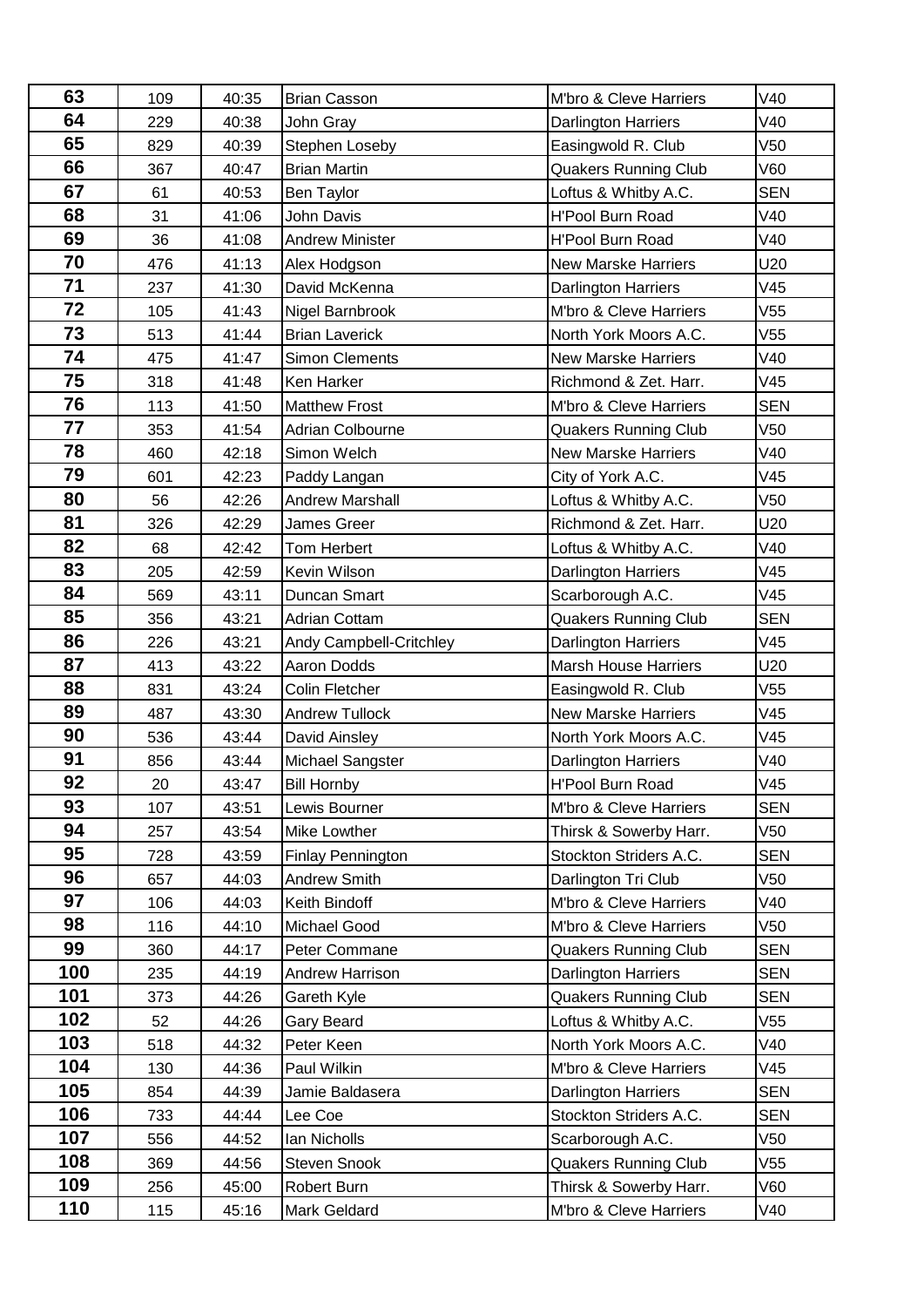| 63  | 109 | 40:35 | <b>Brian Casson</b>                        | M'bro & Cleve Harriers      | V40        |
|-----|-----|-------|--------------------------------------------|-----------------------------|------------|
| 64  | 229 | 40:38 | John Gray                                  | Darlington Harriers         | V40        |
| 65  | 829 | 40:39 | Stephen Loseby                             | Easingwold R. Club          | V50        |
| 66  | 367 | 40:47 | <b>Brian Martin</b>                        | <b>Quakers Running Club</b> | V60        |
| 67  | 61  | 40:53 | Ben Taylor                                 | Loftus & Whitby A.C.        | <b>SEN</b> |
| 68  | 31  | 41:06 | John Davis                                 | <b>H'Pool Burn Road</b>     | V40        |
| 69  | 36  | 41:08 | <b>Andrew Minister</b>                     | <b>H'Pool Burn Road</b>     | V40        |
| 70  | 476 | 41:13 | Alex Hodgson                               | <b>New Marske Harriers</b>  | U20        |
| 71  | 237 | 41:30 | David McKenna                              | Darlington Harriers         | V45        |
| 72  | 105 | 41:43 | Nigel Barnbrook                            | M'bro & Cleve Harriers      | V55        |
| 73  | 513 | 41:44 | <b>Brian Laverick</b>                      | North York Moors A.C.       | V55        |
| 74  | 475 | 41:47 | <b>Simon Clements</b>                      | <b>New Marske Harriers</b>  | V40        |
| 75  | 318 | 41:48 | Ken Harker                                 | Richmond & Zet. Harr.       | V45        |
| 76  | 113 | 41:50 | <b>Matthew Frost</b>                       | M'bro & Cleve Harriers      | <b>SEN</b> |
| 77  | 353 | 41:54 | Adrian Colbourne                           | <b>Quakers Running Club</b> | V50        |
| 78  | 460 | 42:18 | Simon Welch                                | <b>New Marske Harriers</b>  | V40        |
| 79  | 601 | 42:23 | Paddy Langan                               | City of York A.C.           | V45        |
| 80  | 56  | 42:26 | <b>Andrew Marshall</b>                     | Loftus & Whitby A.C.        | V50        |
| 81  | 326 | 42:29 | James Greer                                | Richmond & Zet. Harr.       | U20        |
| 82  | 68  | 42:42 | Tom Herbert                                | Loftus & Whitby A.C.        | V40        |
| 83  | 205 | 42:59 | Kevin Wilson                               | Darlington Harriers         | V45        |
| 84  | 569 | 43:11 | Duncan Smart                               | Scarborough A.C.            | V45        |
| 85  | 356 | 43:21 | Adrian Cottam                              | <b>Quakers Running Club</b> | <b>SEN</b> |
| 86  | 226 | 43:21 | Andy Campbell-Critchley                    | <b>Darlington Harriers</b>  | V45        |
| 87  | 413 | 43:22 | Aaron Dodds                                | <b>Marsh House Harriers</b> | U20        |
| 88  | 831 | 43:24 | Colin Fletcher                             | Easingwold R. Club          | V55        |
| 89  | 487 | 43:30 | <b>Andrew Tullock</b>                      | <b>New Marske Harriers</b>  | V45        |
| 90  | 536 | 43:44 | David Ainsley                              | North York Moors A.C.       | V45        |
| 91  | 856 | 43:44 | Michael Sangster                           | Darlington Harriers         | V40        |
| 92  | 20  | 43:47 | <b>Bill Hornby</b>                         | H'Pool Burn Road            | V45        |
| 93  | 107 | 43:51 | Lewis Bourner                              | M'bro & Cleve Harriers      | <b>SEN</b> |
| 94  | 257 | 43:54 | Mike Lowther                               | Thirsk & Sowerby Harr.      | V50        |
| 95  | 728 | 43:59 | <b>Finlay Pennington</b>                   | Stockton Striders A.C.      | <b>SEN</b> |
| 96  | 657 | 44:03 | Andrew Smith                               | Darlington Tri Club         | V50        |
| 97  | 106 | 44:03 | Keith Bindoff                              | M'bro & Cleve Harriers      | V40        |
| 98  | 116 | 44:10 | Michael Good                               | M'bro & Cleve Harriers      | V50        |
| 99  | 360 | 44:17 | Peter Commane                              | <b>Quakers Running Club</b> | <b>SEN</b> |
| 100 | 235 | 44:19 | Andrew Harrison                            | <b>Darlington Harriers</b>  | <b>SEN</b> |
| 101 | 373 | 44:26 | <b>Quakers Running Club</b><br>Gareth Kyle |                             | <b>SEN</b> |
| 102 | 52  | 44:26 | Loftus & Whitby A.C.<br>Gary Beard         |                             | V55        |
| 103 | 518 | 44:32 | Peter Keen                                 | North York Moors A.C.       | V40        |
| 104 | 130 | 44:36 | Paul Wilkin                                | M'bro & Cleve Harriers      | V45        |
| 105 | 854 | 44:39 | Jamie Baldasera                            | <b>Darlington Harriers</b>  | <b>SEN</b> |
| 106 | 733 | 44:44 | Lee Coe                                    | Stockton Striders A.C.      | <b>SEN</b> |
| 107 | 556 | 44:52 | Ian Nicholls                               | Scarborough A.C.            | V50        |
| 108 | 369 | 44:56 | Steven Snook                               | <b>Quakers Running Club</b> | V55        |
| 109 | 256 | 45:00 | Robert Burn                                | Thirsk & Sowerby Harr.      | V60        |
| 110 | 115 | 45:16 | Mark Geldard                               | M'bro & Cleve Harriers      | V40        |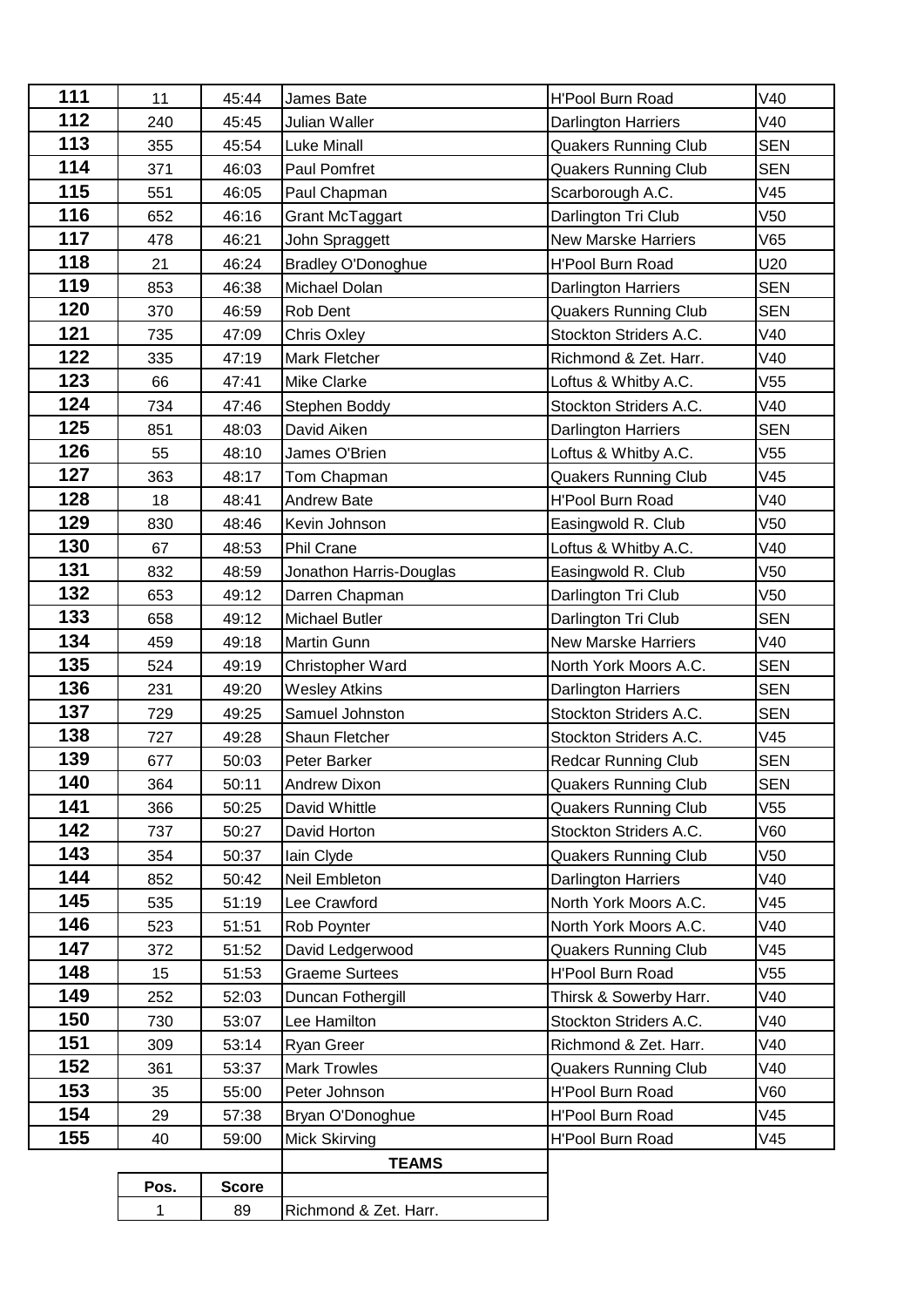| 111 | 11   | 45:44        | James Bate                                  | <b>H'Pool Burn Road</b>     | V40             |
|-----|------|--------------|---------------------------------------------|-----------------------------|-----------------|
| 112 | 240  | 45:45        | Julian Waller                               | <b>Darlington Harriers</b>  | V40             |
| 113 | 355  | 45:54        | <b>Luke Minall</b>                          | <b>Quakers Running Club</b> | <b>SEN</b>      |
| 114 | 371  | 46:03        | Paul Pomfret                                | <b>Quakers Running Club</b> | <b>SEN</b>      |
| 115 | 551  | 46:05        | Paul Chapman                                | Scarborough A.C.            | V45             |
| 116 | 652  | 46:16        | Grant McTaggart                             | Darlington Tri Club         | V <sub>50</sub> |
| 117 | 478  | 46:21        | John Spraggett                              | <b>New Marske Harriers</b>  | V65             |
| 118 | 21   | 46:24        | <b>Bradley O'Donoghue</b>                   | <b>H'Pool Burn Road</b>     | U20             |
| 119 | 853  | 46:38        | Michael Dolan                               | Darlington Harriers         | <b>SEN</b>      |
| 120 | 370  | 46:59        | Rob Dent                                    | <b>Quakers Running Club</b> | <b>SEN</b>      |
| 121 | 735  | 47:09        | <b>Chris Oxley</b>                          | Stockton Striders A.C.      | V40             |
| 122 | 335  | 47:19        | Mark Fletcher                               | Richmond & Zet. Harr.       | V40             |
| 123 | 66   | 47:41        | Mike Clarke                                 | Loftus & Whitby A.C.        | V <sub>55</sub> |
| 124 | 734  | 47:46        | Stephen Boddy                               | Stockton Striders A.C.      | V40             |
| 125 | 851  | 48:03        | David Aiken                                 | <b>Darlington Harriers</b>  | <b>SEN</b>      |
| 126 | 55   | 48:10        | James O'Brien                               | Loftus & Whitby A.C.        | V <sub>55</sub> |
| 127 | 363  | 48:17        | Tom Chapman                                 | Quakers Running Club        | V45             |
| 128 | 18   | 48:41        | Andrew Bate                                 | <b>H'Pool Burn Road</b>     | V40             |
| 129 | 830  | 48:46        | Kevin Johnson                               | Easingwold R. Club          | V <sub>50</sub> |
| 130 | 67   | 48:53        | <b>Phil Crane</b>                           | Loftus & Whitby A.C.        | V40             |
| 131 | 832  | 48:59        | Jonathon Harris-Douglas                     | Easingwold R. Club          | V <sub>50</sub> |
| 132 | 653  | 49:12        | Darren Chapman                              | Darlington Tri Club         | V <sub>50</sub> |
| 133 | 658  | 49:12        | Michael Butler                              | Darlington Tri Club         | <b>SEN</b>      |
| 134 | 459  | 49:18        | Martin Gunn                                 | <b>New Marske Harriers</b>  | V40             |
| 135 | 524  | 49:19        | Christopher Ward                            | North York Moors A.C.       | <b>SEN</b>      |
| 136 | 231  | 49:20        | <b>Wesley Atkins</b>                        | Darlington Harriers         | <b>SEN</b>      |
| 137 | 729  | 49:25        | Samuel Johnston                             | Stockton Striders A.C.      | <b>SEN</b>      |
| 138 | 727  | 49:28        | Shaun Fletcher                              | Stockton Striders A.C.      | V45             |
| 139 | 677  | 50:03        | Peter Barker                                | <b>Redcar Running Club</b>  | <b>SEN</b>      |
| 140 | 364  | 50:11        | <b>Andrew Dixon</b>                         | Quakers Running Club        | SEN             |
| 141 | 366  | 50:25        | David Whittle                               | <b>Quakers Running Club</b> | V55             |
| 142 | 737  | 50:27        | David Horton                                | Stockton Striders A.C.      | V60             |
| 143 | 354  | 50:37        | lain Clyde                                  | <b>Quakers Running Club</b> | V50             |
| 144 | 852  | 50:42        | Neil Embleton                               | <b>Darlington Harriers</b>  | V40             |
| 145 | 535  | 51:19        | Lee Crawford                                | North York Moors A.C.       | V45             |
| 146 | 523  | 51:51        | Rob Poynter                                 | North York Moors A.C.       | V40             |
| 147 | 372  | 51:52        | David Ledgerwood                            | <b>Quakers Running Club</b> | V45             |
| 148 | 15   | 51:53        | <b>Graeme Surtees</b>                       | <b>H'Pool Burn Road</b>     | V55             |
| 149 | 252  | 52:03        | Duncan Fothergill                           | Thirsk & Sowerby Harr.      | V40             |
| 150 | 730  | 53:07        | Lee Hamilton                                | Stockton Striders A.C.      | V40             |
| 151 | 309  | 53:14        | Ryan Greer                                  | Richmond & Zet. Harr.       | V40             |
| 152 | 361  | 53:37        | <b>Mark Trowles</b>                         | <b>Quakers Running Club</b> | V40             |
| 153 | 35   | 55:00        | Peter Johnson                               | <b>H'Pool Burn Road</b>     | V60             |
| 154 | 29   | 57:38        | <b>H'Pool Burn Road</b><br>Bryan O'Donoghue |                             | V45             |
| 155 | 40   | 59:00        | H'Pool Burn Road<br>Mick Skirving           |                             | V45             |
|     |      |              | <b>TEAMS</b>                                |                             |                 |
|     | Pos. | <b>Score</b> |                                             |                             |                 |
|     | 1    | 89           | Richmond & Zet. Harr.                       |                             |                 |
|     |      |              |                                             |                             |                 |

| <b>Score</b> |                      |
|--------------|----------------------|
|              | ichmond & Zet. Harr. |
|              |                      |